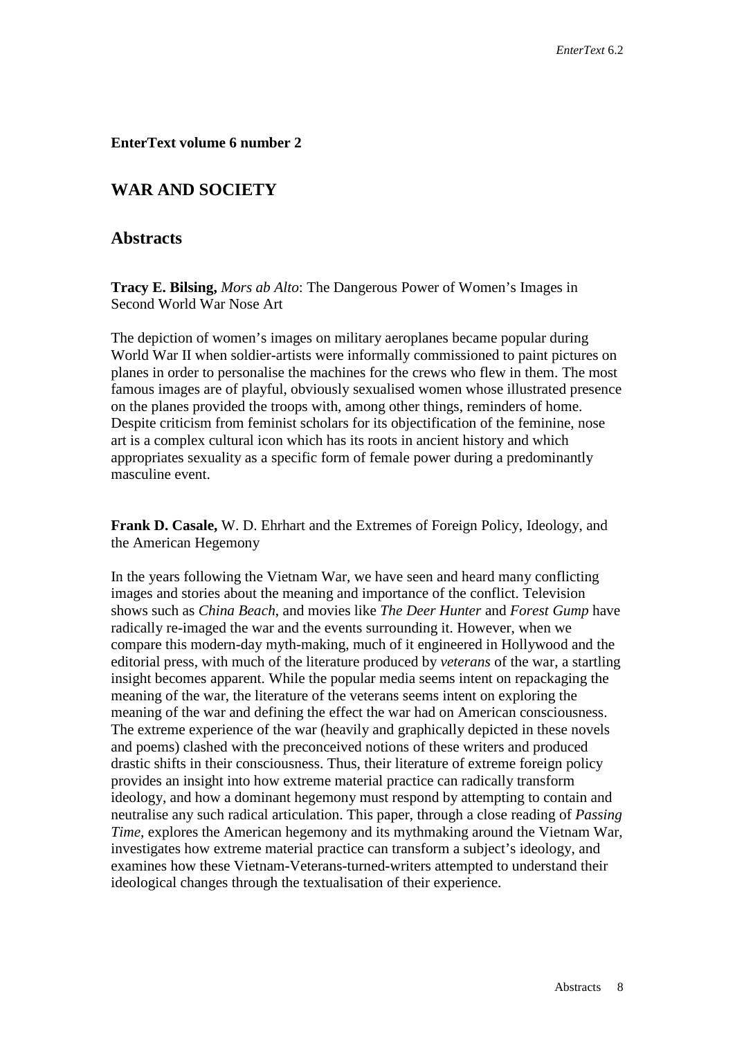#### **EnterText volume 6 number 2**

# **WAR AND SOCIETY**

### **Abstracts**

**Tracy E. Bilsing,** *Mors ab Alto*: The Dangerous Power of Women's Images in Second World War Nose Art

The depiction of women's images on military aeroplanes became popular during World War II when soldier-artists were informally commissioned to paint pictures on planes in order to personalise the machines for the crews who flew in them. The most famous images are of playful, obviously sexualised women whose illustrated presence on the planes provided the troops with, among other things, reminders of home. Despite criticism from feminist scholars for its objectification of the feminine, nose art is a complex cultural icon which has its roots in ancient history and which appropriates sexuality as a specific form of female power during a predominantly masculine event.

**Frank D. Casale,** W. D. Ehrhart and the Extremes of Foreign Policy, Ideology, and the American Hegemony

In the years following the Vietnam War, we have seen and heard many conflicting images and stories about the meaning and importance of the conflict. Television shows such as *China Beach*, and movies like *The Deer Hunter* and *Forest Gump* have radically re-imaged the war and the events surrounding it. However, when we compare this modern-day myth-making, much of it engineered in Hollywood and the editorial press, with much of the literature produced by *veterans* of the war, a startling insight becomes apparent. While the popular media seems intent on repackaging the meaning of the war, the literature of the veterans seems intent on exploring the meaning of the war and defining the effect the war had on American consciousness. The extreme experience of the war (heavily and graphically depicted in these novels and poems) clashed with the preconceived notions of these writers and produced drastic shifts in their consciousness. Thus, their literature of extreme foreign policy provides an insight into how extreme material practice can radically transform ideology, and how a dominant hegemony must respond by attempting to contain and neutralise any such radical articulation. This paper, through a close reading of *Passing Time*, explores the American hegemony and its mythmaking around the Vietnam War, investigates how extreme material practice can transform a subject's ideology, and examines how these Vietnam-Veterans-turned-writers attempted to understand their ideological changes through the textualisation of their experience.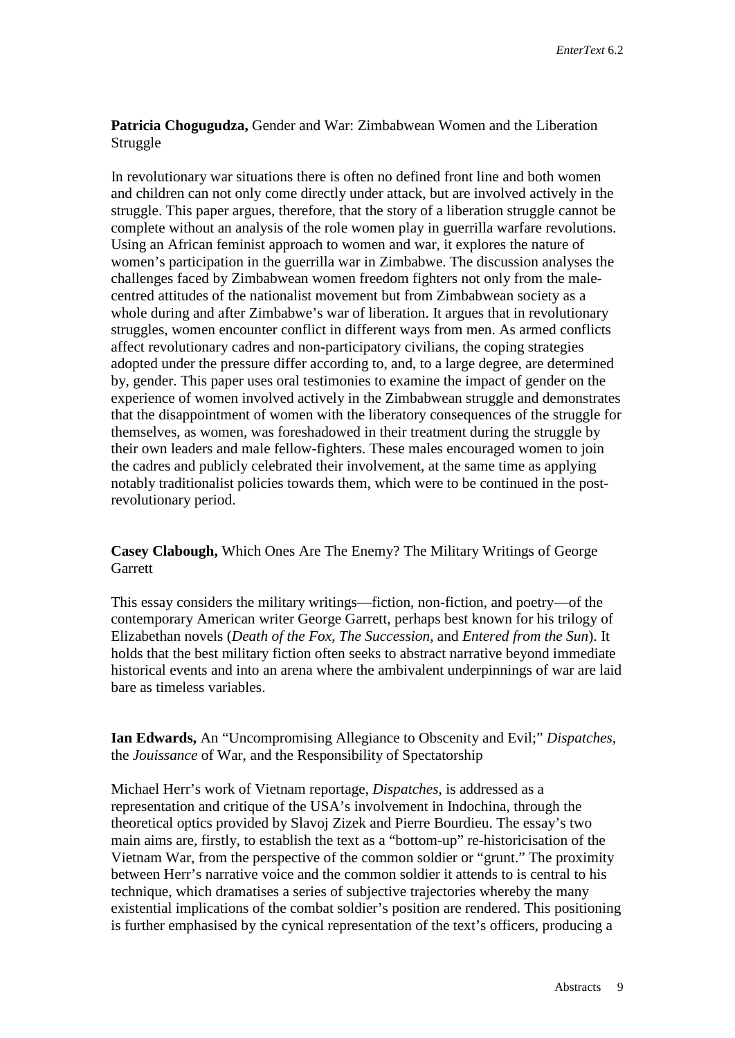# **Patricia Chogugudza,** Gender and War: Zimbabwean Women and the Liberation Struggle

In revolutionary war situations there is often no defined front line and both women and children can not only come directly under attack, but are involved actively in the struggle. This paper argues, therefore, that the story of a liberation struggle cannot be complete without an analysis of the role women play in guerrilla warfare revolutions. Using an African feminist approach to women and war, it explores the nature of women's participation in the guerrilla war in Zimbabwe. The discussion analyses the challenges faced by Zimbabwean women freedom fighters not only from the malecentred attitudes of the nationalist movement but from Zimbabwean society as a whole during and after Zimbabwe's war of liberation. It argues that in revolutionary struggles, women encounter conflict in different ways from men. As armed conflicts affect revolutionary cadres and non-participatory civilians, the coping strategies adopted under the pressure differ according to, and, to a large degree, are determined by, gender. This paper uses oral testimonies to examine the impact of gender on the experience of women involved actively in the Zimbabwean struggle and demonstrates that the disappointment of women with the liberatory consequences of the struggle for themselves, as women, was foreshadowed in their treatment during the struggle by their own leaders and male fellow-fighters. These males encouraged women to join the cadres and publicly celebrated their involvement, at the same time as applying notably traditionalist policies towards them, which were to be continued in the postrevolutionary period.

# **Casey Clabough,** Which Ones Are The Enemy? The Military Writings of George **Garrett**

This essay considers the military writings—fiction, non-fiction, and poetry—of the contemporary American writer George Garrett, perhaps best known for his trilogy of Elizabethan novels (*Death of the Fox*, *The Succession*, and *Entered from the Sun*). It holds that the best military fiction often seeks to abstract narrative beyond immediate historical events and into an arena where the ambivalent underpinnings of war are laid bare as timeless variables.

**Ian Edwards,** An "Uncompromising Allegiance to Obscenity and Evil;" *Dispatches,*  the *Jouissance* of War, and the Responsibility of Spectatorship

Michael Herr's work of Vietnam reportage, *Dispatches*, is addressed as a representation and critique of the USA's involvement in Indochina, through the theoretical optics provided by Slavoj Zizek and Pierre Bourdieu. The essay's two main aims are, firstly, to establish the text as a "bottom-up" re-historicisation of the Vietnam War, from the perspective of the common soldier or "grunt." The proximity between Herr's narrative voice and the common soldier it attends to is central to his technique, which dramatises a series of subjective trajectories whereby the many existential implications of the combat soldier's position are rendered. This positioning is further emphasised by the cynical representation of the text's officers, producing a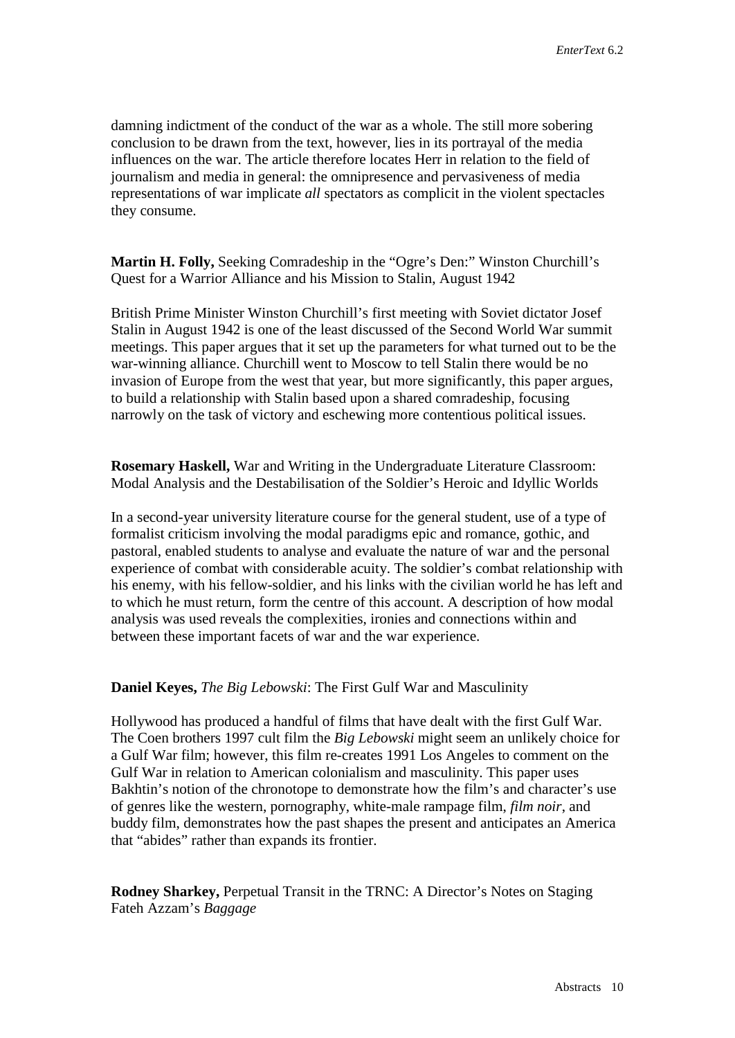damning indictment of the conduct of the war as a whole. The still more sobering conclusion to be drawn from the text, however, lies in its portrayal of the media influences on the war. The article therefore locates Herr in relation to the field of journalism and media in general: the omnipresence and pervasiveness of media representations of war implicate *all* spectators as complicit in the violent spectacles they consume.

**Martin H. Folly,** Seeking Comradeship in the "Ogre's Den:" Winston Churchill's Quest for a Warrior Alliance and his Mission to Stalin, August 1942

British Prime Minister Winston Churchill's first meeting with Soviet dictator Josef Stalin in August 1942 is one of the least discussed of the Second World War summit meetings. This paper argues that it set up the parameters for what turned out to be the war-winning alliance. Churchill went to Moscow to tell Stalin there would be no invasion of Europe from the west that year, but more significantly, this paper argues, to build a relationship with Stalin based upon a shared comradeship, focusing narrowly on the task of victory and eschewing more contentious political issues.

**Rosemary Haskell,** War and Writing in the Undergraduate Literature Classroom: Modal Analysis and the Destabilisation of the Soldier's Heroic and Idyllic Worlds

In a second-year university literature course for the general student, use of a type of formalist criticism involving the modal paradigms epic and romance, gothic, and pastoral, enabled students to analyse and evaluate the nature of war and the personal experience of combat with considerable acuity. The soldier's combat relationship with his enemy, with his fellow-soldier, and his links with the civilian world he has left and to which he must return, form the centre of this account. A description of how modal analysis was used reveals the complexities, ironies and connections within and between these important facets of war and the war experience.

**Daniel Keyes,** *The Big Lebowski*: The First Gulf War and Masculinity

Hollywood has produced a handful of films that have dealt with the first Gulf War. The Coen brothers 1997 cult film the *Big Lebowski* might seem an unlikely choice for a Gulf War film; however, this film re-creates 1991 Los Angeles to comment on the Gulf War in relation to American colonialism and masculinity. This paper uses Bakhtin's notion of the chronotope to demonstrate how the film's and character's use of genres like the western, pornography, white-male rampage film, *film noir*, and buddy film, demonstrates how the past shapes the present and anticipates an America that "abides" rather than expands its frontier.

**Rodney Sharkey,** Perpetual Transit in the TRNC: A Director's Notes on Staging Fateh Azzam's *Baggage*